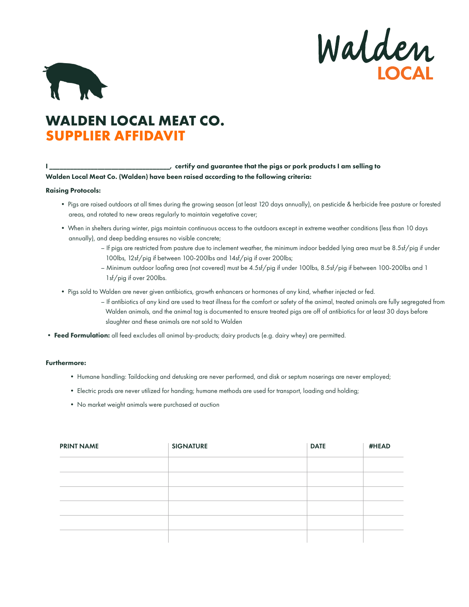Walden



## **WALDEN LOCAL MEAT CO. SUPPLIER AFFIDAVIT**

I \_\_\_\_\_\_\_\_\_\_\_\_\_\_\_\_\_\_\_\_\_\_\_\_\_\_\_\_\_\_\_\_\_\_\_, certify and guarantee that the pigs or pork products I am selling to Walden Local Meat Co. (Walden) have been raised according to the following criteria:

## Raising Protocols:

- Pigs are raised outdoors at all times during the growing season (at least 120 days annually), on pesticide & herbicide free pasture or forested areas, and rotated to new areas regularly to maintain vegetative cover;
- When in shelters during winter, pigs maintain continuous access to the outdoors except in extreme weather conditions (less than 10 days annually), and deep bedding ensures no visible concrete;
	- If pigs are restricted from pasture due to inclement weather, the minimum indoor bedded lying area must be 8.5sf/pig if under 100lbs, 12sf/pig if between 100-200lbs and 14sf/pig if over 200lbs;
	- Minimum outdoor loafing area (not covered) must be 4.5sf/pig if under 100lbs, 8.5sf/pig if between 100-200lbs and 1 1sf/pig if over 200lbs.
- Pigs sold to Walden are never given antibiotics, growth enhancers or hormones of any kind, whether injected or fed.
	- If antibiotics of any kind are used to treat illness for the comfort or safety of the animal, treated animals are fully segregated from Walden animals, and the animal tag is documented to ensure treated pigs are off of antibiotics for at least 30 days before slaughter and these animals are not sold to Walden
- Feed Formulation: all feed excludes all animal by-products; dairy products (e.g. dairy whey) are permitted.

## Furthermore:

- Humane handling: Taildocking and detusking are never performed, and disk or septum noserings are never employed;
- Electric prods are never utilized for handing; humane methods are used for transport, loading and holding;
- No market weight animals were purchased at auction

| <b>PRINT NAME</b> | <b>SIGNATURE</b> | <b>DATE</b> | #HEAD |
|-------------------|------------------|-------------|-------|
|                   |                  |             |       |
|                   |                  |             |       |
|                   |                  |             |       |
|                   |                  |             |       |
|                   |                  |             |       |
|                   |                  |             |       |